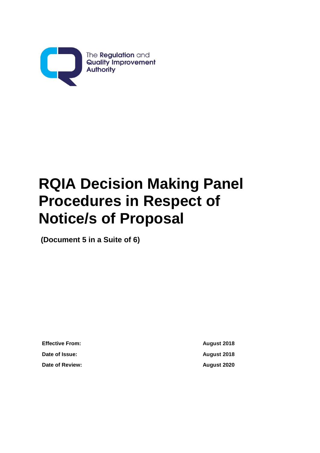

## **RQIA Decision Making Panel Procedures in Respect of Notice/s of Proposal**

**(Document 5 in a Suite of 6)**

**Effective From: August 2018 Date of Issue: August 2018 Date of Review: August 2020**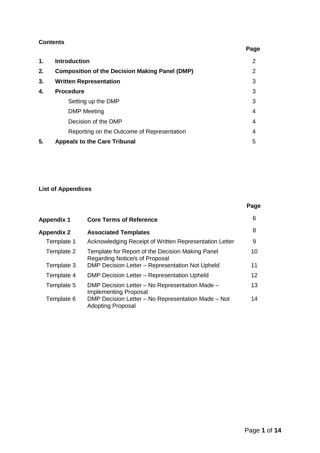## **Contents**

| 1. | <b>Introduction</b>                                   | 2 |
|----|-------------------------------------------------------|---|
| 2. | <b>Composition of the Decision Making Panel (DMP)</b> | 2 |
| 3. | <b>Written Representation</b>                         | 3 |
| 4. | <b>Procedure</b>                                      | 3 |
|    | Setting up the DMP                                    | 3 |
|    | <b>DMP</b> Meeting                                    | 4 |
|    | Decision of the DMP                                   | 4 |
|    | Reporting on the Outcome of Representation            | 4 |
| 5. | <b>Appeals to the Care Tribunal</b>                   | 5 |
|    |                                                       |   |

## **List of Appendices**

|            |                                                                                    | Page |
|------------|------------------------------------------------------------------------------------|------|
| Appendix 1 | <b>Core Terms of Reference</b>                                                     | 6    |
| Appendix 2 | <b>Associated Templates</b>                                                        | 8    |
| Template 1 | Acknowledging Receipt of Written Representation Letter                             | 9    |
| Template 2 | Template for Report of the Decision Making Panel<br>Regarding Notice/s of Proposal | 10   |
| Template 3 | DMP Decision Letter - Representation Not Upheld                                    | 11   |
| Template 4 | DMP Decision Letter – Representation Upheld                                        | 12   |
| Template 5 | DMP Decision Letter – No Representation Made –<br>Implementing Proposal            | 13   |
| Template 6 | DMP Decision Letter - No Representation Made - Not<br><b>Adopting Proposal</b>     | 14   |

## **Page**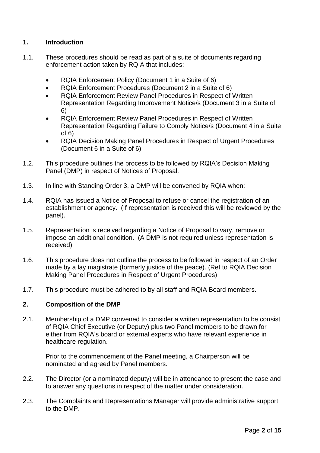## **1. Introduction**

- 1.1. These procedures should be read as part of a suite of documents regarding enforcement action taken by RQIA that includes:
	- RQIA Enforcement Policy (Document 1 in a Suite of 6)
	- RQIA Enforcement Procedures (Document 2 in a Suite of 6)
	- RQIA Enforcement Review Panel Procedures in Respect of Written Representation Regarding Improvement Notice/s (Document 3 in a Suite of 6)
	- RQIA Enforcement Review Panel Procedures in Respect of Written Representation Regarding Failure to Comply Notice/s (Document 4 in a Suite of 6)
	- RQIA Decision Making Panel Procedures in Respect of Urgent Procedures (Document 6 in a Suite of 6)
- 1.2. This procedure outlines the process to be followed by RQIA's Decision Making Panel (DMP) in respect of Notices of Proposal.
- 1.3. In line with Standing Order 3, a DMP will be convened by RQIA when:
- 1.4. RQIA has issued a Notice of Proposal to refuse or cancel the registration of an establishment or agency. (If representation is received this will be reviewed by the panel).
- 1.5. Representation is received regarding a Notice of Proposal to vary, remove or impose an additional condition. (A DMP is not required unless representation is received)
- 1.6. This procedure does not outline the process to be followed in respect of an Order made by a lay magistrate (formerly justice of the peace). (Ref to RQIA Decision Making Panel Procedures in Respect of Urgent Procedures)
- 1.7. This procedure must be adhered to by all staff and RQIA Board members.

## **2. Composition of the DMP**

2.1. Membership of a DMP convened to consider a written representation to be consist of RQIA Chief Executive (or Deputy) plus two Panel members to be drawn for either from RQIA's board or external experts who have relevant experience in healthcare regulation.

Prior to the commencement of the Panel meeting, a Chairperson will be nominated and agreed by Panel members.

- 2.2. The Director (or a nominated deputy) will be in attendance to present the case and to answer any questions in respect of the matter under consideration.
- 2.3. The Complaints and Representations Manager will provide administrative support to the DMP.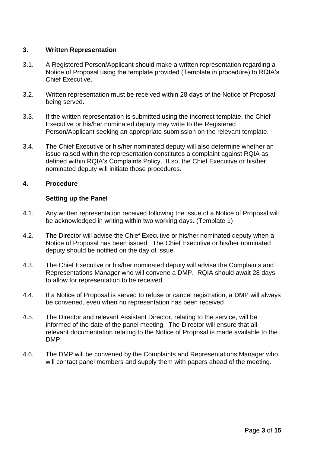## **3. Written Representation**

- 3.1. A Registered Person/Applicant should make a written representation regarding a Notice of Proposal using the template provided (Template in procedure) to RQIA's Chief Executive.
- 3.2. Written representation must be received within 28 days of the Notice of Proposal being served.
- 3.3. If the written representation is submitted using the incorrect template, the Chief Executive or his/her nominated deputy may write to the Registered Person/Applicant seeking an appropriate submission on the relevant template.
- 3.4. The Chief Executive or his/her nominated deputy will also determine whether an issue raised within the representation constitutes a complaint against RQIA as defined within RQIA's Complaints Policy. If so, the Chief Executive or his/her nominated deputy will initiate those procedures.

## **4. Procedure**

## **Setting up the Panel**

- 4.1. Any written representation received following the issue of a Notice of Proposal will be acknowledged in writing within two working days. (Template 1)
- 4.2. The Director will advise the Chief Executive or his/her nominated deputy when a Notice of Proposal has been issued. The Chief Executive or his/her nominated deputy should be notified on the day of issue.
- 4.3. The Chief Executive or his/her nominated deputy will advise the Complaints and Representations Manager who will convene a DMP. RQIA should await 28 days to allow for representation to be received.
- 4.4. If a Notice of Proposal is served to refuse or cancel registration, a DMP will always be convened, even when no representation has been received
- 4.5. The Director and relevant Assistant Director, relating to the service, will be informed of the date of the panel meeting. The Director will ensure that all relevant documentation relating to the Notice of Proposal is made available to the DMP.
- 4.6. The DMP will be convened by the Complaints and Representations Manager who will contact panel members and supply them with papers ahead of the meeting.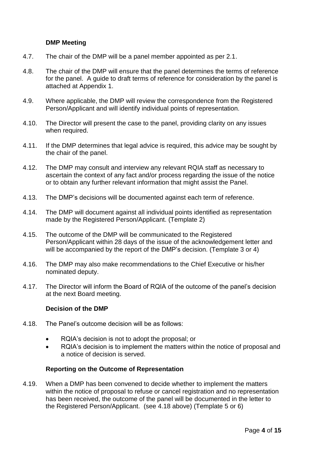## **DMP Meeting**

- 4.7. The chair of the DMP will be a panel member appointed as per 2.1.
- 4.8. The chair of the DMP will ensure that the panel determines the terms of reference for the panel. A guide to draft terms of reference for consideration by the panel is attached at Appendix 1.
- 4.9. Where applicable, the DMP will review the correspondence from the Registered Person/Applicant and will identify individual points of representation.
- 4.10. The Director will present the case to the panel, providing clarity on any issues when required.
- 4.11. If the DMP determines that legal advice is required, this advice may be sought by the chair of the panel.
- 4.12. The DMP may consult and interview any relevant RQIA staff as necessary to ascertain the context of any fact and/or process regarding the issue of the notice or to obtain any further relevant information that might assist the Panel.
- 4.13. The DMP's decisions will be documented against each term of reference.
- 4.14. The DMP will document against all individual points identified as representation made by the Registered Person/Applicant. (Template 2)
- 4.15. The outcome of the DMP will be communicated to the Registered Person/Applicant within 28 days of the issue of the acknowledgement letter and will be accompanied by the report of the DMP's decision. (Template 3 or 4)
- 4.16. The DMP may also make recommendations to the Chief Executive or his/her nominated deputy.
- 4.17. The Director will inform the Board of RQIA of the outcome of the panel's decision at the next Board meeting.

## **Decision of the DMP**

- 4.18. The Panel's outcome decision will be as follows:
	- RQIA's decision is not to adopt the proposal; or
	- RQIA's decision is to implement the matters within the notice of proposal and a notice of decision is served.

## **Reporting on the Outcome of Representation**

4.19. When a DMP has been convened to decide whether to implement the matters within the notice of proposal to refuse or cancel registration and no representation has been received, the outcome of the panel will be documented in the letter to the Registered Person/Applicant. (see 4.18 above) (Template 5 or 6)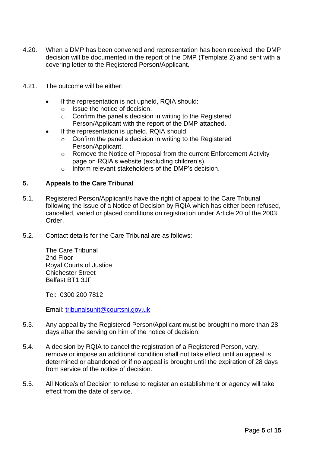- 4.20. When a DMP has been convened and representation has been received, the DMP decision will be documented in the report of the DMP (Template 2) and sent with a covering letter to the Registered Person/Applicant.
- 4.21. The outcome will be either:
	- If the representation is not upheld, RQIA should:
		- o Issue the notice of decision.
		- o Confirm the panel's decision in writing to the Registered Person/Applicant with the report of the DMP attached.
	- If the representation is upheld, RQIA should:
		- o Confirm the panel's decision in writing to the Registered Person/Applicant.
		- o Remove the Notice of Proposal from the current Enforcement Activity page on RQIA's website (excluding children's).
		- o Inform relevant stakeholders of the DMP's decision.

## **5. Appeals to the Care Tribunal**

- 5.1. Registered Person/Applicant/s have the right of appeal to the Care Tribunal following the issue of a Notice of Decision by RQIA which has either been refused, cancelled, varied or placed conditions on registration under Article 20 of the 2003 Order.
- 5.2. Contact details for the Care Tribunal are as follows:

The Care Tribunal 2nd Floor Royal Courts of Justice Chichester Street Belfast BT1 3JF

Tel: 0300 200 7812

Email: [tribunalsunit@courtsni.gov.uk](mailto:tribunalsunit@courtsni.gov.uk)

- 5.3. Any appeal by the Registered Person/Applicant must be brought no more than 28 days after the serving on him of the notice of decision.
- 5.4. A decision by RQIA to cancel the registration of a Registered Person, vary, remove or impose an additional condition shall not take effect until an appeal is determined or abandoned or if no appeal is brought until the expiration of 28 days from service of the notice of decision.
- 5.5. All Notice/s of Decision to refuse to register an establishment or agency will take effect from the date of service.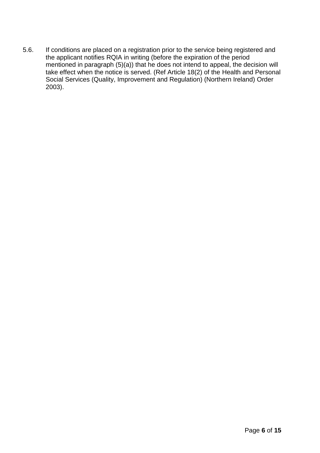5.6. If conditions are placed on a registration prior to the service being registered and the applicant notifies RQIA in writing (before the expiration of the period mentioned in paragraph (5)(a)) that he does not intend to appeal, the decision will take effect when the notice is served. (Ref Article 18(2) of the Health and Personal Social Services (Quality, Improvement and Regulation) (Northern Ireland) Order 2003).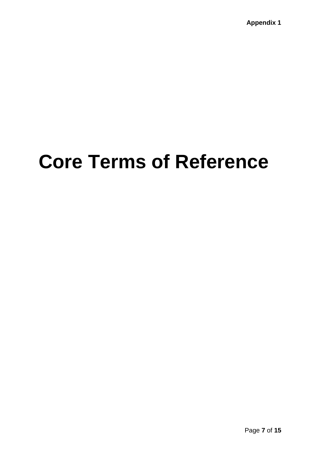## **Core Terms of Reference**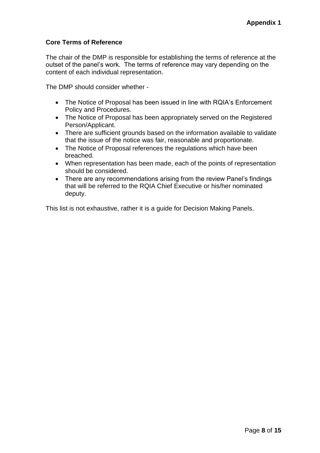## **Core Terms of Reference**

The chair of the DMP is responsible for establishing the terms of reference at the outset of the panel's work. The terms of reference may vary depending on the content of each individual representation.

The DMP should consider whether -

- The Notice of Proposal has been issued in line with RQIA's Enforcement Policy and Procedures.
- The Notice of Proposal has been appropriately served on the Registered Person/Applicant.
- There are sufficient grounds based on the information available to validate that the issue of the notice was fair, reasonable and proportionate.
- The Notice of Proposal references the regulations which have been breached.
- When representation has been made, each of the points of representation should be considered.
- There are any recommendations arising from the review Panel's findings that will be referred to the RQIA Chief Executive or his/her nominated deputy.

This list is not exhaustive, rather it is a guide for Decision Making Panels.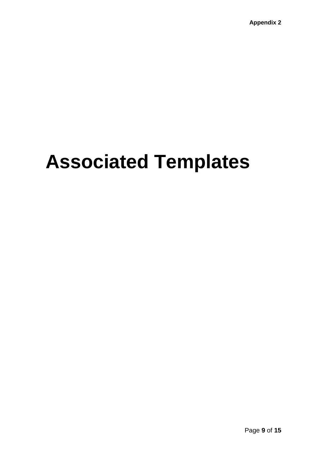# **Associated Templates**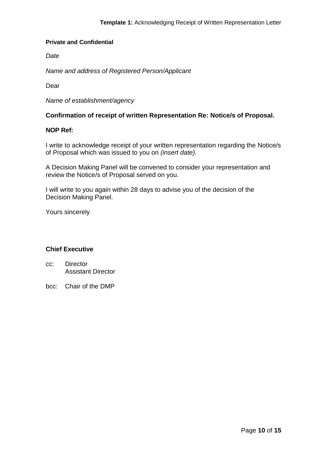*Date*

*Name and address of Registered Person/Applicant*

Dear

*Name of establishment/agency*

## **Confirmation of receipt of written Representation Re: Notice/s of Proposal.**

## **NOP Ref:**

I write to acknowledge receipt of your written representation regarding the Notice/s of Proposal which was issued to you on *(insert date)*.

A Decision Making Panel will be convened to consider your representation and review the Notice/s of Proposal served on you.

I will write to you again within 28 days to advise you of the decision of the Decision Making Panel.

Yours sincerely

## **Chief Executive**

- cc: Director Assistant Director
- bcc: Chair of the DMP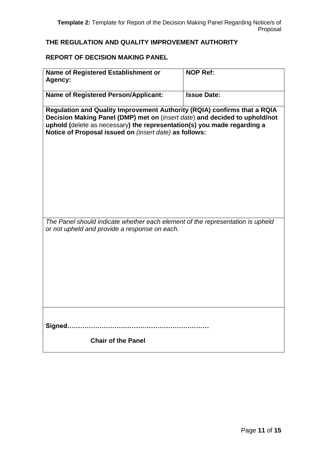## **THE REGULATION AND QUALITY IMPROVEMENT AUTHORITY**

## **REPORT OF DECISION MAKING PANEL**

| Name of Registered Establishment or<br>Agency:                                                                                                                                                                                                                                              | <b>NOP Ref:</b>    |  |  |  |
|---------------------------------------------------------------------------------------------------------------------------------------------------------------------------------------------------------------------------------------------------------------------------------------------|--------------------|--|--|--|
| <b>Name of Registered Person/Applicant:</b>                                                                                                                                                                                                                                                 | <b>Issue Date:</b> |  |  |  |
| Regulation and Quality Improvement Authority (RQIA) confirms that a RQIA<br>Decision Making Panel (DMP) met on (insert date) and decided to uphold/not<br>uphold (delete as necessary) the representation(s) you made regarding a<br>Notice of Proposal issued on (insert date) as follows: |                    |  |  |  |
|                                                                                                                                                                                                                                                                                             |                    |  |  |  |
|                                                                                                                                                                                                                                                                                             |                    |  |  |  |
| The Panel should indicate whether each element of the representation is upheld<br>or not upheld and provide a response on each.                                                                                                                                                             |                    |  |  |  |
|                                                                                                                                                                                                                                                                                             |                    |  |  |  |
|                                                                                                                                                                                                                                                                                             |                    |  |  |  |
|                                                                                                                                                                                                                                                                                             |                    |  |  |  |
| <b>Chair of the Panel</b>                                                                                                                                                                                                                                                                   |                    |  |  |  |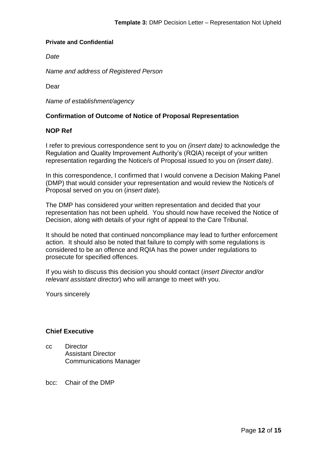*Date* 

*Name and address of Registered Person*

Dear

*Name of establishment/agency*

## **Confirmation of Outcome of Notice of Proposal Representation**

## **NOP Ref**

I refer to previous correspondence sent to you on *(insert date)* to acknowledge the Regulation and Quality Improvement Authority's (RQIA) receipt of your written representation regarding the Notice/s of Proposal issued to you on *(insert date)*.

In this correspondence, I confirmed that I would convene a Decision Making Panel (DMP) that would consider your representation and would review the Notice/s of Proposal served on you on (*insert date*).

The DMP has considered your written representation and decided that your representation has not been upheld. You should now have received the Notice of Decision, along with details of your right of appeal to the Care Tribunal.

It should be noted that continued noncompliance may lead to further enforcement action. It should also be noted that failure to comply with some regulations is considered to be an offence and RQIA has the power under regulations to prosecute for specified offences.

If you wish to discuss this decision you should contact (*insert Director and/or relevant assistant director*) who will arrange to meet with you.

Yours sincerely

#### **Chief Executive**

cc Director Assistant Director Communications Manager

#### bcc: Chair of the DMP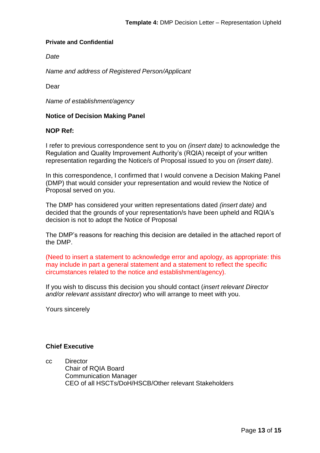*Date* 

*Name and address of Registered Person/Applicant*

Dear

*Name of establishment/agency*

## **Notice of Decision Making Panel**

## **NOP Ref:**

I refer to previous correspondence sent to you on *(insert date)* to acknowledge the Regulation and Quality Improvement Authority's (RQIA) receipt of your written representation regarding the Notice/s of Proposal issued to you on *(insert date)*.

In this correspondence, I confirmed that I would convene a Decision Making Panel (DMP) that would consider your representation and would review the Notice of Proposal served on you.

The DMP has considered your written representations dated *(insert date)* and decided that the grounds of your representation/s have been upheld and RQIA's decision is not to adopt the Notice of Proposal

The DMP's reasons for reaching this decision are detailed in the attached report of the DMP.

(Need to insert a statement to acknowledge error and apology, as appropriate: this may include in part a general statement and a statement to reflect the specific circumstances related to the notice and establishment/agency).

If you wish to discuss this decision you should contact (*insert relevant Director and/or relevant assistant director*) who will arrange to meet with you.

Yours sincerely

## **Chief Executive**

cc Director Chair of RQIA Board Communication Manager CEO of all HSCTs/DoH/HSCB/Other relevant Stakeholders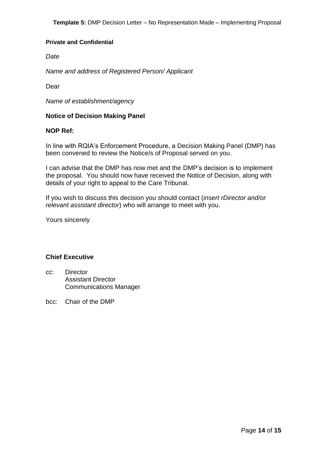*Date* 

*Name and address of Registered Person/ Applicant*

Dear

*Name of establishment/agency*

## **Notice of Decision Making Panel**

## **NOP Ref:**

In line with RQIA's Enforcement Procedure, a Decision Making Panel (DMP) has been convened to review the Notice/s of Proposal served on you.

I can advise that the DMP has now met and the DMP's decision is to implement the proposal. You should now have received the Notice of Decision, along with details of your right to appeal to the Care Tribunal.

If you wish to discuss this decision you should contact (*insert rDirector and/or relevant assistant director*) who will arrange to meet with you.

Yours sincerely

## **Chief Executive**

- cc: Director Assistant Director Communications Manager
- bcc: Chair of the DMP